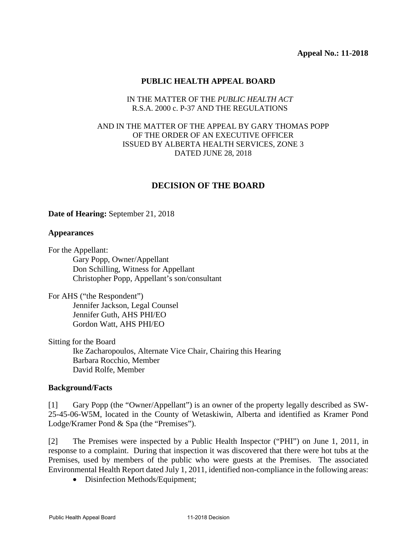### **PUBLIC HEALTH APPEAL BOARD**

## IN THE MATTER OF THE *PUBLIC HEALTH ACT* R.S.A. 2000 c. P-37 AND THE REGULATIONS

## AND IN THE MATTER OF THE APPEAL BY GARY THOMAS POPP OF THE ORDER OF AN EXECUTIVE OFFICER ISSUED BY ALBERTA HEALTH SERVICES, ZONE 3 DATED JUNE 28, 2018

# **DECISION OF THE BOARD**

**Date of Hearing:** September 21, 2018

#### **Appearances**

For the Appellant:

 Gary Popp, Owner/Appellant Don Schilling, Witness for Appellant Christopher Popp, Appellant's son/consultant

For AHS ("the Respondent") Jennifer Jackson, Legal Counsel Jennifer Guth, AHS PHI/EO Gordon Watt, AHS PHI/EO

Sitting for the Board Ike Zacharopoulos, Alternate Vice Chair, Chairing this Hearing Barbara Rocchio, Member David Rolfe, Member

#### **Background/Facts**

[1] Gary Popp (the "Owner/Appellant") is an owner of the property legally described as SW-25-45-06-W5M, located in the County of Wetaskiwin, Alberta and identified as Kramer Pond Lodge/Kramer Pond & Spa (the "Premises").

[2] The Premises were inspected by a Public Health Inspector ("PHI") on June 1, 2011, in response to a complaint. During that inspection it was discovered that there were hot tubs at the Premises, used by members of the public who were guests at the Premises. The associated Environmental Health Report dated July 1, 2011, identified non-compliance in the following areas:

• Disinfection Methods/Equipment;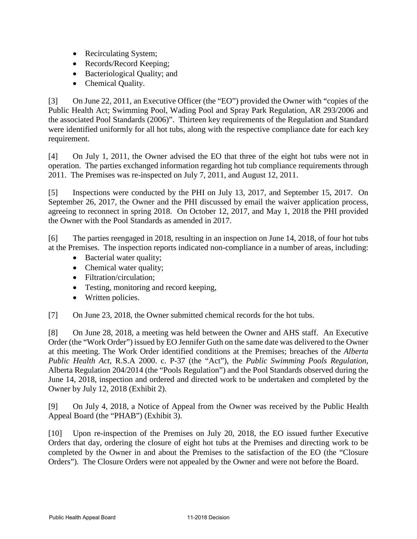- Recirculating System;
- Records/Record Keeping;
- Bacteriological Quality; and
- Chemical Quality.

[3] On June 22, 2011, an Executive Officer (the "EO") provided the Owner with "copies of the Public Health Act; Swimming Pool, Wading Pool and Spray Park Regulation, AR 293/2006 and the associated Pool Standards (2006)". Thirteen key requirements of the Regulation and Standard were identified uniformly for all hot tubs, along with the respective compliance date for each key requirement.

[4] On July 1, 2011, the Owner advised the EO that three of the eight hot tubs were not in operation. The parties exchanged information regarding hot tub compliance requirements through 2011. The Premises was re-inspected on July 7, 2011, and August 12, 2011.

[5] Inspections were conducted by the PHI on July 13, 2017, and September 15, 2017. On September 26, 2017, the Owner and the PHI discussed by email the waiver application process, agreeing to reconnect in spring 2018. On October 12, 2017, and May 1, 2018 the PHI provided the Owner with the Pool Standards as amended in 2017.

[6] The parties reengaged in 2018, resulting in an inspection on June 14, 2018, of four hot tubs at the Premises. The inspection reports indicated non-compliance in a number of areas, including:

- Bacterial water quality;
- Chemical water quality;
- Filtration/circulation:
- Testing, monitoring and record keeping,
- Written policies.

[7] On June 23, 2018, the Owner submitted chemical records for the hot tubs.

[8] On June 28, 2018, a meeting was held between the Owner and AHS staff. An Executive Order (the "Work Order") issued by EO Jennifer Guth on the same date was delivered to the Owner at this meeting. The Work Order identified conditions at the Premises; breaches of the *Alberta Public Health Act*, R.S.A 2000. c. P-37 (the "Act"), the *Public Swimming Pools Regulation*, Alberta Regulation 204/2014 (the "Pools Regulation") and the Pool Standards observed during the June 14, 2018, inspection and ordered and directed work to be undertaken and completed by the Owner by July 12, 2018 (Exhibit 2).

[9] On July 4, 2018, a Notice of Appeal from the Owner was received by the Public Health Appeal Board (the "PHAB") (Exhibit 3).

[10] Upon re-inspection of the Premises on July 20, 2018, the EO issued further Executive Orders that day, ordering the closure of eight hot tubs at the Premises and directing work to be completed by the Owner in and about the Premises to the satisfaction of the EO (the "Closure Orders"). The Closure Orders were not appealed by the Owner and were not before the Board.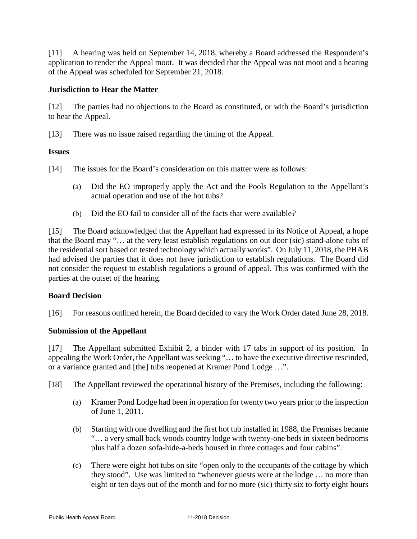[11] A hearing was held on September 14, 2018, whereby a Board addressed the Respondent's application to render the Appeal moot. It was decided that the Appeal was not moot and a hearing of the Appeal was scheduled for September 21, 2018.

# **Jurisdiction to Hear the Matter**

[12] The parties had no objections to the Board as constituted, or with the Board's jurisdiction to hear the Appeal.

[13] There was no issue raised regarding the timing of the Appeal.

# **Issues**

- [14] The issues for the Board's consideration on this matter were as follows:
	- (a) Did the EO improperly apply the Act and the Pools Regulation to the Appellant's actual operation and use of the hot tubs?
	- (b) Did the EO fail to consider all of the facts that were available*?*

[15] The Board acknowledged that the Appellant had expressed in its Notice of Appeal, a hope that the Board may "… at the very least establish regulations on out door (sic) stand-alone tubs of the residential sort based on tested technology which actually works". On July 11, 2018, the PHAB had advised the parties that it does not have jurisdiction to establish regulations. The Board did not consider the request to establish regulations a ground of appeal. This was confirmed with the parties at the outset of the hearing.

## **Board Decision**

[16] For reasons outlined herein, the Board decided to vary the Work Order dated June 28, 2018.

## **Submission of the Appellant**

[17] The Appellant submitted Exhibit 2, a binder with 17 tabs in support of its position. In appealing the Work Order, the Appellant was seeking "… to have the executive directive rescinded, or a variance granted and [the] tubs reopened at Kramer Pond Lodge …".

[18] The Appellant reviewed the operational history of the Premises, including the following:

- (a) Kramer Pond Lodge had been in operation for twenty two years prior to the inspection of June 1, 2011.
- (b) Starting with one dwelling and the first hot tub installed in 1988, the Premises became "… a very small back woods country lodge with twenty-one beds in sixteen bedrooms plus half a dozen sofa-hide-a-beds housed in three cottages and four cabins".
- (c) There were eight hot tubs on site "open only to the occupants of the cottage by which they stood". Use was limited to "whenever guests were at the lodge … no more than eight or ten days out of the month and for no more (sic) thirty six to forty eight hours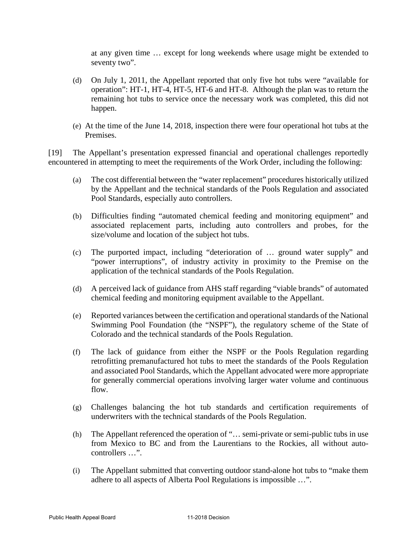at any given time … except for long weekends where usage might be extended to seventy two".

- (d) On July 1, 2011, the Appellant reported that only five hot tubs were "available for operation": HT-1, HT-4, HT-5, HT-6 and HT-8. Although the plan was to return the remaining hot tubs to service once the necessary work was completed, this did not happen.
- (e) At the time of the June 14, 2018, inspection there were four operational hot tubs at the Premises.

[19] The Appellant's presentation expressed financial and operational challenges reportedly encountered in attempting to meet the requirements of the Work Order, including the following:

- (a) The cost differential between the "water replacement" procedures historically utilized by the Appellant and the technical standards of the Pools Regulation and associated Pool Standards, especially auto controllers.
- (b) Difficulties finding "automated chemical feeding and monitoring equipment" and associated replacement parts, including auto controllers and probes, for the size/volume and location of the subject hot tubs.
- (c) The purported impact, including "deterioration of … ground water supply" and "power interruptions", of industry activity in proximity to the Premise on the application of the technical standards of the Pools Regulation.
- (d) A perceived lack of guidance from AHS staff regarding "viable brands" of automated chemical feeding and monitoring equipment available to the Appellant.
- (e) Reported variances between the certification and operational standards of the National Swimming Pool Foundation (the "NSPF"), the regulatory scheme of the State of Colorado and the technical standards of the Pools Regulation.
- (f) The lack of guidance from either the NSPF or the Pools Regulation regarding retrofitting premanufactured hot tubs to meet the standards of the Pools Regulation and associated Pool Standards, which the Appellant advocated were more appropriate for generally commercial operations involving larger water volume and continuous flow.
- (g) Challenges balancing the hot tub standards and certification requirements of underwriters with the technical standards of the Pools Regulation.
- (h) The Appellant referenced the operation of "… semi-private or semi-public tubs in use from Mexico to BC and from the Laurentians to the Rockies, all without autocontrollers …".
- (i) The Appellant submitted that converting outdoor stand-alone hot tubs to "make them adhere to all aspects of Alberta Pool Regulations is impossible …".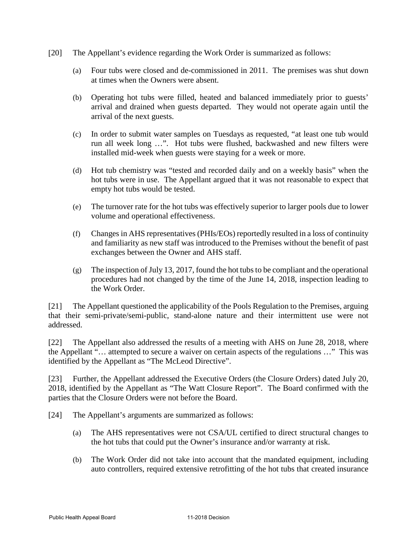- [20] The Appellant's evidence regarding the Work Order is summarized as follows:
	- (a) Four tubs were closed and de-commissioned in 2011. The premises was shut down at times when the Owners were absent.
	- (b) Operating hot tubs were filled, heated and balanced immediately prior to guests' arrival and drained when guests departed. They would not operate again until the arrival of the next guests.
	- (c) In order to submit water samples on Tuesdays as requested, "at least one tub would run all week long …". Hot tubs were flushed, backwashed and new filters were installed mid-week when guests were staying for a week or more.
	- (d) Hot tub chemistry was "tested and recorded daily and on a weekly basis" when the hot tubs were in use. The Appellant argued that it was not reasonable to expect that empty hot tubs would be tested.
	- (e) The turnover rate for the hot tubs was effectively superior to larger pools due to lower volume and operational effectiveness.
	- (f) Changes in AHS representatives (PHIs/EOs) reportedly resulted in a loss of continuity and familiarity as new staff was introduced to the Premises without the benefit of past exchanges between the Owner and AHS staff.
	- (g) The inspection of July 13, 2017, found the hot tubs to be compliant and the operational procedures had not changed by the time of the June 14, 2018, inspection leading to the Work Order.

[21] The Appellant questioned the applicability of the Pools Regulation to the Premises, arguing that their semi-private/semi-public, stand-alone nature and their intermittent use were not addressed.

[22] The Appellant also addressed the results of a meeting with AHS on June 28, 2018, where the Appellant "… attempted to secure a waiver on certain aspects of the regulations …" This was identified by the Appellant as "The McLeod Directive".

[23] Further, the Appellant addressed the Executive Orders (the Closure Orders) dated July 20, 2018, identified by the Appellant as "The Watt Closure Report". The Board confirmed with the parties that the Closure Orders were not before the Board.

[24] The Appellant's arguments are summarized as follows:

- (a) The AHS representatives were not CSA/UL certified to direct structural changes to the hot tubs that could put the Owner's insurance and/or warranty at risk.
- (b) The Work Order did not take into account that the mandated equipment, including auto controllers, required extensive retrofitting of the hot tubs that created insurance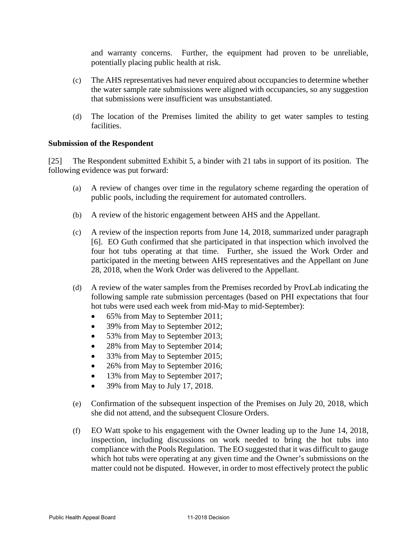and warranty concerns. Further, the equipment had proven to be unreliable, potentially placing public health at risk.

- (c) The AHS representatives had never enquired about occupancies to determine whether the water sample rate submissions were aligned with occupancies, so any suggestion that submissions were insufficient was unsubstantiated.
- (d) The location of the Premises limited the ability to get water samples to testing facilities.

## **Submission of the Respondent**

[25] The Respondent submitted Exhibit 5, a binder with 21 tabs in support of its position. The following evidence was put forward:

- (a) A review of changes over time in the regulatory scheme regarding the operation of public pools, including the requirement for automated controllers.
- (b) A review of the historic engagement between AHS and the Appellant.
- (c) A review of the inspection reports from June 14, 2018, summarized under paragraph [6]. EO Guth confirmed that she participated in that inspection which involved the four hot tubs operating at that time. Further, she issued the Work Order and participated in the meeting between AHS representatives and the Appellant on June 28, 2018, when the Work Order was delivered to the Appellant.
- (d) A review of the water samples from the Premises recorded by ProvLab indicating the following sample rate submission percentages (based on PHI expectations that four hot tubs were used each week from mid-May to mid-September):
	- 65% from May to September 2011;
	- 39% from May to September 2012;
	- 53% from May to September 2013;
	- 28% from May to September 2014;
	- 33% from May to September 2015;
	- 26% from May to September 2016;
	- 13% from May to September 2017;
	- 39% from May to July 17, 2018.
- (e) Confirmation of the subsequent inspection of the Premises on July 20, 2018, which she did not attend, and the subsequent Closure Orders.
- (f) EO Watt spoke to his engagement with the Owner leading up to the June 14, 2018, inspection, including discussions on work needed to bring the hot tubs into compliance with the Pools Regulation. The EO suggested that it was difficult to gauge which hot tubs were operating at any given time and the Owner's submissions on the matter could not be disputed. However, in order to most effectively protect the public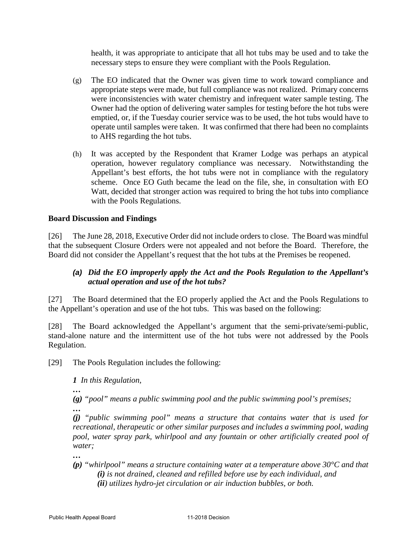health, it was appropriate to anticipate that all hot tubs may be used and to take the necessary steps to ensure they were compliant with the Pools Regulation.

- (g) The EO indicated that the Owner was given time to work toward compliance and appropriate steps were made, but full compliance was not realized. Primary concerns were inconsistencies with water chemistry and infrequent water sample testing. The Owner had the option of delivering water samples for testing before the hot tubs were emptied, or, if the Tuesday courier service was to be used, the hot tubs would have to operate until samples were taken. It was confirmed that there had been no complaints to AHS regarding the hot tubs.
- (h) It was accepted by the Respondent that Kramer Lodge was perhaps an atypical operation, however regulatory compliance was necessary. Notwithstanding the Appellant's best efforts, the hot tubs were not in compliance with the regulatory scheme. Once EO Guth became the lead on the file, she, in consultation with EO Watt, decided that stronger action was required to bring the hot tubs into compliance with the Pools Regulations.

# **Board Discussion and Findings**

[26] The June 28, 2018, Executive Order did not include orders to close. The Board was mindful that the subsequent Closure Orders were not appealed and not before the Board. Therefore, the Board did not consider the Appellant's request that the hot tubs at the Premises be reopened.

# *(a) Did the EO improperly apply the Act and the Pools Regulation to the Appellant's actual operation and use of the hot tubs?*

[27] The Board determined that the EO properly applied the Act and the Pools Regulations to the Appellant's operation and use of the hot tubs. This was based on the following:

[28] The Board acknowledged the Appellant's argument that the semi-private/semi-public, stand-alone nature and the intermittent use of the hot tubs were not addressed by the Pools Regulation.

[29] The Pools Regulation includes the following:

*1 In this Regulation,* 

*(g) "pool" means a public swimming pool and the public swimming pool's premises; …* 

*(j) "public swimming pool" means a structure that contains water that is used for recreational, therapeutic or other similar purposes and includes a swimming pool, wading pool, water spray park, whirlpool and any fountain or other artificially created pool of water;*

*…* 

*…* 

*(p) "whirlpool" means a structure containing water at a temperature above 30°C and that (i) is not drained, cleaned and refilled before use by each individual, and (ii) utilizes hydro-jet circulation or air induction bubbles, or both.*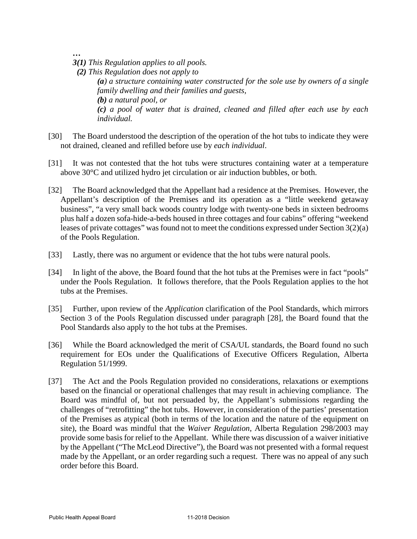*…*

*3(1) This Regulation applies to all pools.* 

 *(2) This Regulation does not apply to (a) a structure containing water constructed for the sole use by owners of a single family dwelling and their families and guests, (b) a natural pool, or (c) a pool of water that is drained, cleaned and filled after each use by each individual.*

- [30] The Board understood the description of the operation of the hot tubs to indicate they were not drained, cleaned and refilled before use by *each individual*.
- [31] It was not contested that the hot tubs were structures containing water at a temperature above 30°C and utilized hydro jet circulation or air induction bubbles, or both.
- [32] The Board acknowledged that the Appellant had a residence at the Premises. However, the Appellant's description of the Premises and its operation as a "little weekend getaway business", "a very small back woods country lodge with twenty-one beds in sixteen bedrooms plus half a dozen sofa-hide-a-beds housed in three cottages and four cabins" offering "weekend leases of private cottages" was found not to meet the conditions expressed under Section 3(2)(a) of the Pools Regulation.
- [33] Lastly, there was no argument or evidence that the hot tubs were natural pools.
- [34] In light of the above, the Board found that the hot tubs at the Premises were in fact "pools" under the Pools Regulation. It follows therefore, that the Pools Regulation applies to the hot tubs at the Premises.
- [35] Further, upon review of the *Application* clarification of the Pool Standards, which mirrors Section 3 of the Pools Regulation discussed under paragraph [28], the Board found that the Pool Standards also apply to the hot tubs at the Premises.
- [36] While the Board acknowledged the merit of CSA/UL standards, the Board found no such requirement for EOs under the Qualifications of Executive Officers Regulation, Alberta Regulation 51/1999.
- [37] The Act and the Pools Regulation provided no considerations, relaxations or exemptions based on the financial or operational challenges that may result in achieving compliance. The Board was mindful of, but not persuaded by, the Appellant's submissions regarding the challenges of "retrofitting" the hot tubs. However, in consideration of the parties' presentation of the Premises as atypical (both in terms of the location and the nature of the equipment on site), the Board was mindful that the *Waiver Regulation*, Alberta Regulation 298/2003 may provide some basis for relief to the Appellant. While there was discussion of a waiver initiative by the Appellant ("The McLeod Directive"), the Board was not presented with a formal request made by the Appellant, or an order regarding such a request. There was no appeal of any such order before this Board.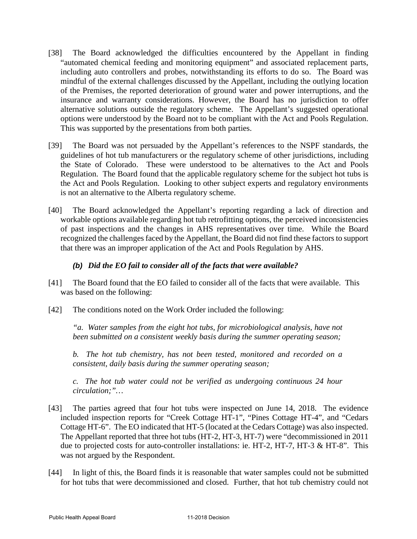- [38] The Board acknowledged the difficulties encountered by the Appellant in finding "automated chemical feeding and monitoring equipment" and associated replacement parts, including auto controllers and probes, notwithstanding its efforts to do so. The Board was mindful of the external challenges discussed by the Appellant, including the outlying location of the Premises, the reported deterioration of ground water and power interruptions, and the insurance and warranty considerations. However, the Board has no jurisdiction to offer alternative solutions outside the regulatory scheme. The Appellant's suggested operational options were understood by the Board not to be compliant with the Act and Pools Regulation. This was supported by the presentations from both parties.
- [39] The Board was not persuaded by the Appellant's references to the NSPF standards, the guidelines of hot tub manufacturers or the regulatory scheme of other jurisdictions, including the State of Colorado. These were understood to be alternatives to the Act and Pools Regulation. The Board found that the applicable regulatory scheme for the subject hot tubs is the Act and Pools Regulation. Looking to other subject experts and regulatory environments is not an alternative to the Alberta regulatory scheme.
- [40] The Board acknowledged the Appellant's reporting regarding a lack of direction and workable options available regarding hot tub retrofitting options, the perceived inconsistencies of past inspections and the changes in AHS representatives over time. While the Board recognized the challenges faced by the Appellant, the Board did not find these factors to support that there was an improper application of the Act and Pools Regulation by AHS.

# *(b) Did the EO fail to consider all of the facts that were available?*

- [41] The Board found that the EO failed to consider all of the facts that were available. This was based on the following:
- [42] The conditions noted on the Work Order included the following:

*"a. Water samples from the eight hot tubs, for microbiological analysis, have not been submitted on a consistent weekly basis during the summer operating season;* 

*b. The hot tub chemistry, has not been tested, monitored and recorded on a consistent, daily basis during the summer operating season;* 

*c. The hot tub water could not be verified as undergoing continuous 24 hour circulation;"…* 

- [43] The parties agreed that four hot tubs were inspected on June 14, 2018. The evidence included inspection reports for "Creek Cottage HT-1", "Pines Cottage HT-4", and "Cedars Cottage HT-6". The EO indicated that HT-5 (located at the Cedars Cottage) was also inspected. The Appellant reported that three hot tubs (HT-2, HT-3, HT-7) were "decommissioned in 2011 due to projected costs for auto-controller installations: ie. HT-2, HT-7, HT-3 & HT-8". This was not argued by the Respondent.
- [44] In light of this, the Board finds it is reasonable that water samples could not be submitted for hot tubs that were decommissioned and closed. Further, that hot tub chemistry could not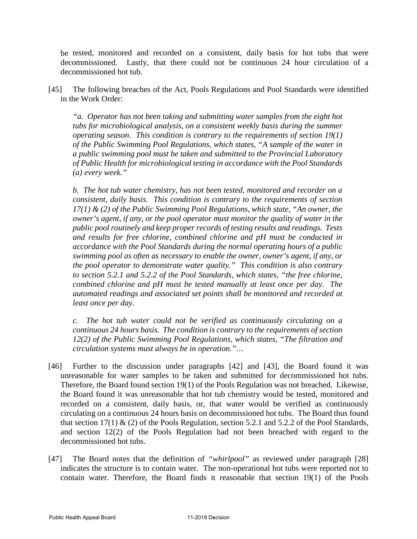be tested, monitored and recorded on a consistent, daily basis for hot tubs that were decommissioned. Lastly, that there could not be continuous 24 hour circulation of a decommissioned hot tub.

[45] The following breaches of the Act, Pools Regulations and Pool Standards were identified in the Work Order:

*"a. Operator has not been taking and submitting water samples from the eight hot tubs for microbiological analysis, on a consistent weekly basis during the summer operating season. This condition is contrary to the requirements of section 19(1) of the Public Swimming Pool Regulations, which states, "A sample of the water in a public swimming pool must be taken and submitted to the Provincial Laboratory of Public Health for microbiological testing in accordance with the Pool Standards (a) every week."*

*b. The hot tub water chemistry, has not been tested, monitored and recorder on a consistent, daily basis. This condition is contrary to the requirements of section 17(1) & (2) of the Public Swimming Pool Regulations, which state, "An owner, the owner's agent, if any, or the pool operator must monitor the quality of water in the public pool routinely and keep proper records of testing results and readings. Tests and results for free chlorine, combined chlorine and pH must be conducted in accordance with the Pool Standards during the normal operating hours of a public swimming pool as often as necessary to enable the owner, owner's agent, if any, or the pool operator to demonstrate water quality." This condition is also contrary to section 5.2.1 and 5.2.2 of the Pool Standards, which states, "the free chlorine, combined chlorine and pH must be tested manually at least once per day. The automated readings and associated set points shall be monitored and recorded at least once per day.* 

*c. The hot tub water could not be verified as continuously circulating on a continuous 24 hours basis. The condition is contrary to the requirements of section 12(2) of the Public Swimming Pool Regulations, which states, "The filtration and circulation systems must always be in operation."…* 

- [46] Further to the discussion under paragraphs [42] and [43], the Board found it was unreasonable for water samples to be taken and submitted for decommissioned hot tubs. Therefore, the Board found section 19(1) of the Pools Regulation was not breached. Likewise, the Board found it was unreasonable that hot tub chemistry would be tested, monitored and recorded on a consistent, daily basis, or, that water would be verified as continuously circulating on a continuous 24 hours basis on decommissioned hot tubs. The Board thus found that section 17(1)  $\&$  (2) of the Pools Regulation, section 5.2.1 and 5.2.2 of the Pool Standards, and section 12(2) of the Pools Regulation had not been breached with regard to the decommissioned hot tubs.
- [47] The Board notes that the definition of *"whirlpool"* as reviewed under paragraph [28] indicates the structure is to contain water. The non-operational hot tubs were reported not to contain water. Therefore, the Board finds it reasonable that section 19(1) of the Pools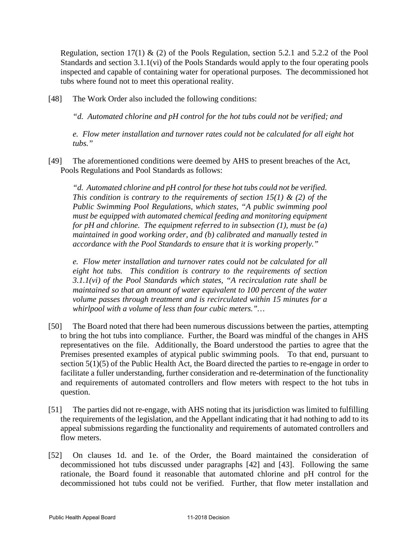Regulation, section 17(1) & (2) of the Pools Regulation, section 5.2.1 and 5.2.2 of the Pool Standards and section 3.1.1(vi) of the Pools Standards would apply to the four operating pools inspected and capable of containing water for operational purposes. The decommissioned hot tubs where found not to meet this operational reality.

[48] The Work Order also included the following conditions:

*"d. Automated chlorine and pH control for the hot tubs could not be verified; and* 

*e. Flow meter installation and turnover rates could not be calculated for all eight hot tubs."*

[49] The aforementioned conditions were deemed by AHS to present breaches of the Act, Pools Regulations and Pool Standards as follows:

*"d. Automated chlorine and pH control for these hot tubs could not be verified. This condition is contrary to the requirements of section 15(1) & (2) of the Public Swimming Pool Regulations, which states, "A public swimming pool must be equipped with automated chemical feeding and monitoring equipment for pH and chlorine. The equipment referred to in subsection (1), must be (a) maintained in good working order, and (b) calibrated and manually tested in accordance with the Pool Standards to ensure that it is working properly."* 

*e. Flow meter installation and turnover rates could not be calculated for all eight hot tubs. This condition is contrary to the requirements of section 3.1.1(vi) of the Pool Standards which states, "A recirculation rate shall be maintained so that an amount of water equivalent to 100 percent of the water volume passes through treatment and is recirculated within 15 minutes for a whirlpool with a volume of less than four cubic meters."…*

- [50] The Board noted that there had been numerous discussions between the parties, attempting to bring the hot tubs into compliance. Further, the Board was mindful of the changes in AHS representatives on the file. Additionally, the Board understood the parties to agree that the Premises presented examples of atypical public swimming pools. To that end, pursuant to section 5(1)(5) of the Public Health Act, the Board directed the parties to re-engage in order to facilitate a fuller understanding, further consideration and re-determination of the functionality and requirements of automated controllers and flow meters with respect to the hot tubs in question.
- [51] The parties did not re-engage, with AHS noting that its jurisdiction was limited to fulfilling the requirements of the legislation, and the Appellant indicating that it had nothing to add to its appeal submissions regarding the functionality and requirements of automated controllers and flow meters.
- [52] On clauses 1d. and 1e. of the Order, the Board maintained the consideration of decommissioned hot tubs discussed under paragraphs [42] and [43]. Following the same rationale, the Board found it reasonable that automated chlorine and pH control for the decommissioned hot tubs could not be verified. Further, that flow meter installation and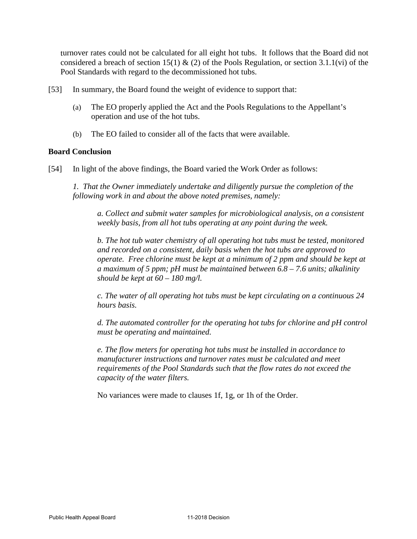turnover rates could not be calculated for all eight hot tubs. It follows that the Board did not considered a breach of section 15(1) & (2) of the Pools Regulation, or section 3.1.1(vi) of the Pool Standards with regard to the decommissioned hot tubs.

- [53] In summary, the Board found the weight of evidence to support that:
	- (a) The EO properly applied the Act and the Pools Regulations to the Appellant's operation and use of the hot tubs.
	- (b) The EO failed to consider all of the facts that were available.

## **Board Conclusion**

[54] In light of the above findings, the Board varied the Work Order as follows:

*1. That the Owner immediately undertake and diligently pursue the completion of the following work in and about the above noted premises, namely:* 

*a. Collect and submit water samples for microbiological analysis, on a consistent weekly basis, from all hot tubs operating at any point during the week.* 

*b. The hot tub water chemistry of all operating hot tubs must be tested, monitored and recorded on a consistent, daily basis when the hot tubs are approved to operate. Free chlorine must be kept at a minimum of 2 ppm and should be kept at a maximum of 5 ppm; pH must be maintained between 6.8 – 7.6 units; alkalinity should be kept at 60 – 180 mg/l.* 

*c. The water of all operating hot tubs must be kept circulating on a continuous 24 hours basis.* 

*d. The automated controller for the operating hot tubs for chlorine and pH control must be operating and maintained.* 

*e. The flow meters for operating hot tubs must be installed in accordance to manufacturer instructions and turnover rates must be calculated and meet requirements of the Pool Standards such that the flow rates do not exceed the capacity of the water filters.*

No variances were made to clauses 1f, 1g, or 1h of the Order.